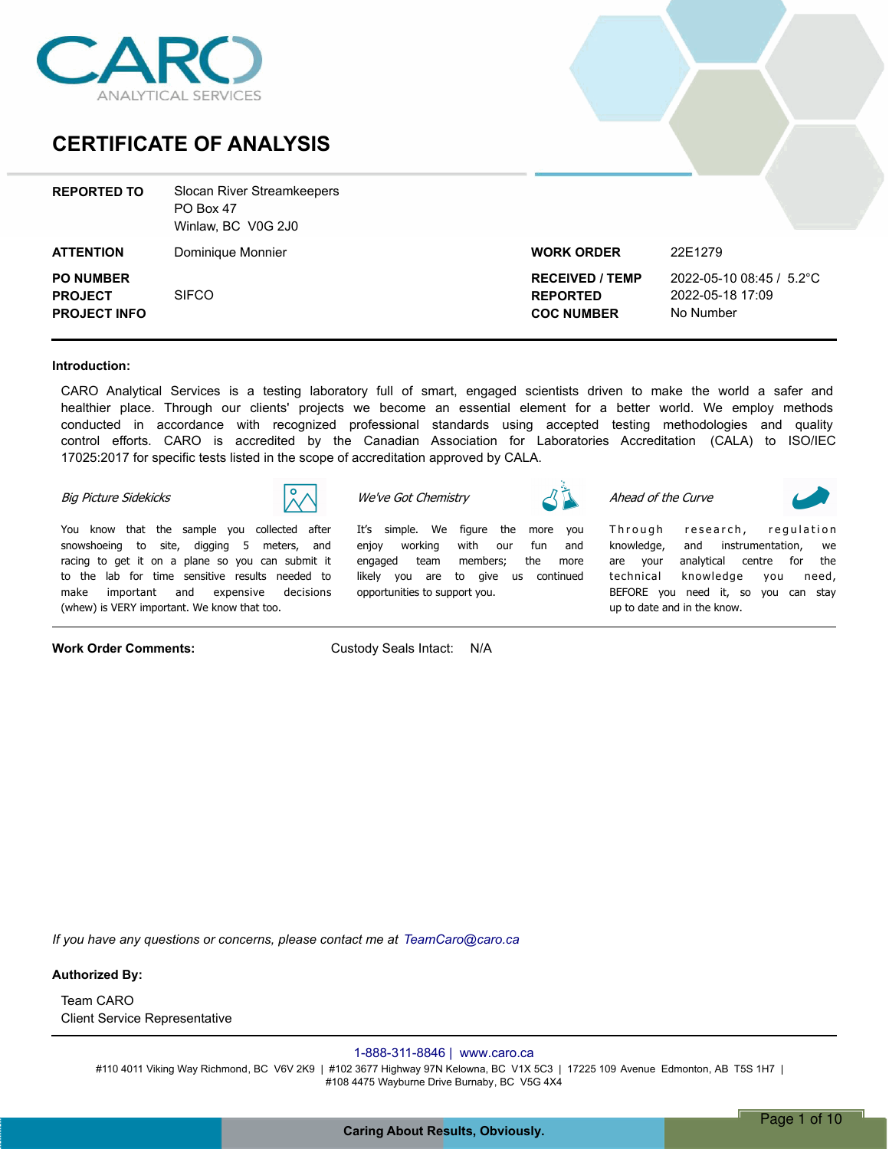

### **CERTIFICATE OF ANALYSIS**

| <b>REPORTED TO</b>                                        | <b>Slocan River Streamkeepers</b><br>PO Box 47<br>Winlaw, BC V0G 2J0 |                                                                |                                                           |
|-----------------------------------------------------------|----------------------------------------------------------------------|----------------------------------------------------------------|-----------------------------------------------------------|
| <b>ATTENTION</b>                                          | Dominique Monnier                                                    | <b>WORK ORDER</b>                                              | 22E1279                                                   |
| <b>PO NUMBER</b><br><b>PROJECT</b><br><b>PROJECT INFO</b> | <b>SIFCO</b>                                                         | <b>RECEIVED / TEMP</b><br><b>REPORTED</b><br><b>COC NUMBER</b> | 2022-05-10 08:45 / 5.2°C<br>2022-05-18 17:09<br>No Number |

#### **Introduction:**

CARO Analytical Services is a testing laboratory full of smart, engaged scientists driven to make the world a safer and healthier place. Through our clients' projects we become an essential element for a better world. We employ methods conducted in accordance with recognized professional standards using accepted testing methodologies and quality control efforts. CARO is accredited by the Canadian Association for Laboratories Accreditation (CALA) to ISO/IEC 17025:2017 for specific tests listed in the scope of accreditation approved by CALA.

> *Itís simple. We figure the more you enjoy working with our fun and engaged team members; the more likely you are to give us continued*

#### *Big Picture Sidekicks*



*You know that the sample you collected after snowshoeing to site, digging 5 meters, and racing to get it on a plane so you can submit it to the lab for time sensitive results needed to make important and expensive decisions (whew) is VERY important. We know that too.*

**Work Order Comments:** Custody Seals Intact: N/A

*opportunities to support you.*

*We've Got Chemistry*

*Ahead of the Curve*

Through research, regulation *knowledge, and instrumentation, we are your analytical centre for the technical knowledge you need, BEFORE you need it, so you can stay up to date and in the know.*

*If you have any questions or concerns, please contact me at TeamCaro@caro.ca*

#### **Authorized By:**

Client Service Representative Team CARO

#### 1-888-311-8846 | www.caro.ca

#110 4011 Viking Way Richmond, BC V6V 2K9 | #102 3677 Highway 97N Kelowna, BC V1X 5C3 | 17225 109 Avenue Edmonton, AB T5S 1H7 | #108 4475 Wayburne Drive Burnaby, BC V5G 4X4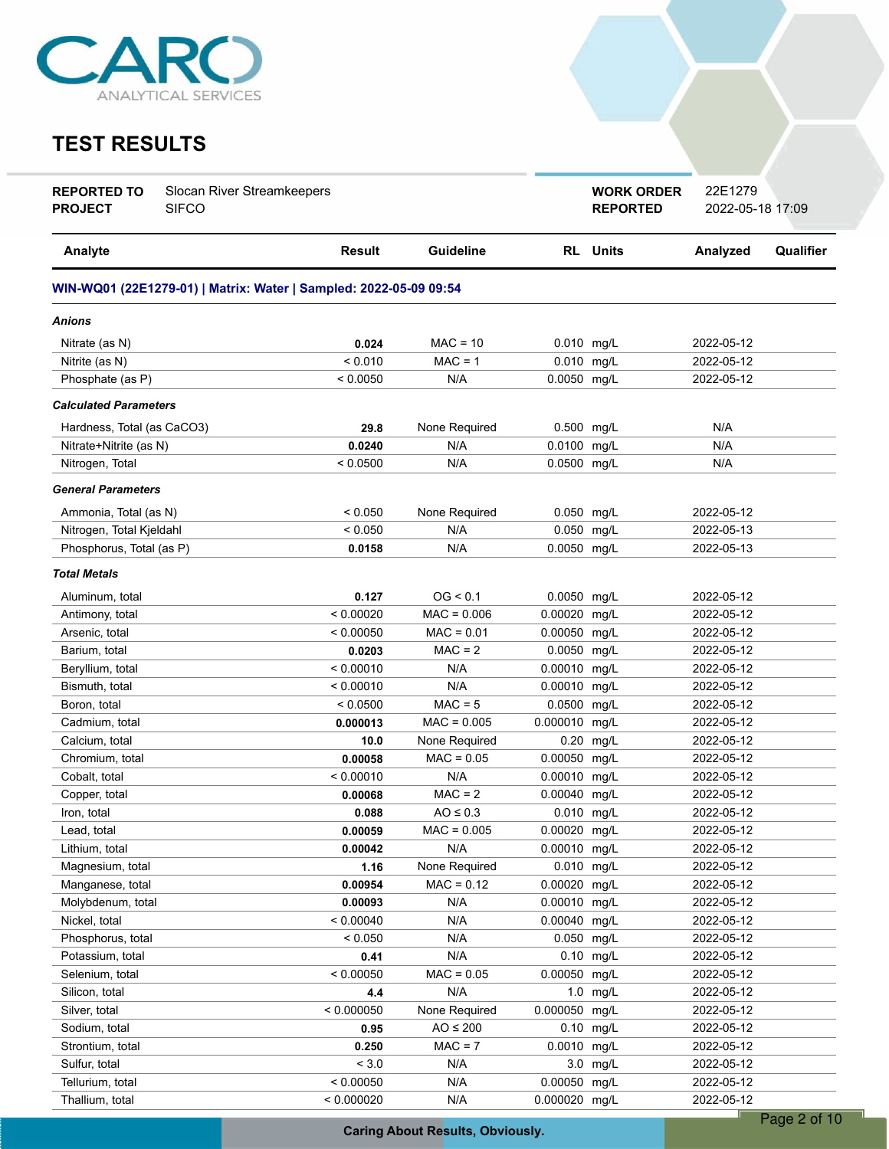

### **TEST RESULTS**

| Analyte<br><b>Result</b><br>Guideline<br><b>RL</b> Units<br>Analyzed<br>Qualifier<br>WIN-WQ01 (22E1279-01)   Matrix: Water   Sampled: 2022-05-09 09:54<br>Anions<br>0.024<br>$MAC = 10$<br>0.010 mg/L<br>Nitrate (as N)<br>2022-05-12<br>< 0.010<br>$MAC = 1$<br>0.010 mg/L<br>Nitrite (as N)<br>2022-05-12<br>N/A<br>0.0050 mg/L<br>Phosphate (as P)<br>< 0.0050<br>2022-05-12<br><b>Calculated Parameters</b><br>N/A<br>29.8<br>None Required<br>0.500 mg/L<br>Hardness, Total (as CaCO3)<br>N/A<br>0.0100<br>N/A<br>Nitrate+Nitrite (as N)<br>0.0240<br>mg/L<br>0.0500 mg/L<br>Nitrogen, Total<br>< 0.0500<br>N/A<br>N/A<br><b>General Parameters</b><br>Ammonia, Total (as N)<br>< 0.050<br>None Required<br>0.050 mg/L<br>2022-05-12<br>Nitrogen, Total Kjeldahl<br>0.050 mg/L<br>2022-05-13<br>< 0.050<br>N/A<br>0.0050 mg/L<br>Phosphorus, Total (as P)<br>N/A<br>2022-05-13<br>0.0158<br><b>Total Metals</b><br>OG < 0.1<br>0.0050 mg/L<br>Aluminum, total<br>0.127<br>2022-05-12<br>< 0.00020<br>0.00020 mg/L<br>Antimony, total<br>$MAC = 0.006$<br>2022-05-12<br>$MAC = 0.01$<br>Arsenic, total<br>< 0.00050<br>0.00050<br>mg/L<br>2022-05-12<br>$MAC = 2$<br>0.0050<br>2022-05-12<br>mg/L<br>Barium, total<br>0.0203<br>< 0.00010<br>N/A<br>$0.00010$ mg/L<br>2022-05-12<br>Beryllium, total<br>N/A<br>2022-05-12<br>Bismuth, total<br>< 0.00010<br>0.00010 mg/L<br>$MAC = 5$<br>0.0500 mg/L<br>Boron, total<br>< 0.0500<br>2022-05-12<br>Cadmium, total<br>$MAC = 0.005$<br>0.000010 mg/L<br>2022-05-12<br>0.000013<br>Calcium, total<br>10.0<br>None Required<br>0.20<br>mg/L<br>2022-05-12<br>$MAC = 0.05$<br>0.00050<br>Chromium, total<br>mg/L<br>2022-05-12<br>0.00058<br>N/A<br>Cobalt, total<br>< 0.00010<br>0.00010<br>mg/L<br>2022-05-12<br>$MAC = 2$<br>Copper, total<br>0.00040<br>mg/L<br>2022-05-12<br>0.00068<br>$AO \leq 0.3$<br>0.010 mg/L<br>2022-05-12<br>Iron, total<br>0.088<br>Lead, total<br>0.00059<br>$MAC = 0.005$<br>0.00020 mg/L<br>2022-05-12<br>N/A<br>0.00010 mg/L<br>2022-05-12<br>Lithium, total<br>0.00042<br>0.010 mg/L<br>Magnesium, total<br>1.16<br>None Required<br>2022-05-12<br>0.00020 mg/L<br>Manganese, total<br>0.00954<br>$MAC = 0.12$<br>2022-05-12<br>0.00010 mg/L<br>Molybdenum, total<br>N/A<br>2022-05-12<br>0.00093<br>< 0.00040<br>N/A<br>0.00040 mg/L<br>Nickel, total<br>2022-05-12<br>Phosphorus, total<br>< 0.050<br>N/A<br>0.050 mg/L<br>2022-05-12<br>0.10 mg/L<br>Potassium, total<br>0.41<br>N/A<br>2022-05-12<br>0.00050 mg/L<br>Selenium, total<br>< 0.00050<br>$MAC = 0.05$<br>2022-05-12<br>Silicon, total<br>N/A<br>$1.0$ mg/L<br>2022-05-12<br>4.4<br>0.000050 mg/L<br>< 0.000050<br>None Required<br>2022-05-12<br>Silver, total<br>$AO \leq 200$<br>0.10 mg/L<br>2022-05-12<br>Sodium, total<br>0.95<br>$MAC = 7$<br>0.0010 mg/L<br>Strontium, total<br>2022-05-12<br>0.250<br>${}_{< 3.0}$<br>Sulfur, total<br>N/A<br>3.0 mg/L<br>2022-05-12<br>0.00050 mg/L<br>Tellurium, total<br>< 0.00050<br>N/A<br>2022-05-12<br>0.000020 mg/L | <b>REPORTED TO</b><br><b>PROJECT</b> | Slocan River Streamkeepers<br><b>SIFCO</b> |            |     | <b>WORK ORDER</b><br><b>REPORTED</b> | 22E1279<br>2022-05-18 17:09 |  |
|-----------------------------------------------------------------------------------------------------------------------------------------------------------------------------------------------------------------------------------------------------------------------------------------------------------------------------------------------------------------------------------------------------------------------------------------------------------------------------------------------------------------------------------------------------------------------------------------------------------------------------------------------------------------------------------------------------------------------------------------------------------------------------------------------------------------------------------------------------------------------------------------------------------------------------------------------------------------------------------------------------------------------------------------------------------------------------------------------------------------------------------------------------------------------------------------------------------------------------------------------------------------------------------------------------------------------------------------------------------------------------------------------------------------------------------------------------------------------------------------------------------------------------------------------------------------------------------------------------------------------------------------------------------------------------------------------------------------------------------------------------------------------------------------------------------------------------------------------------------------------------------------------------------------------------------------------------------------------------------------------------------------------------------------------------------------------------------------------------------------------------------------------------------------------------------------------------------------------------------------------------------------------------------------------------------------------------------------------------------------------------------------------------------------------------------------------------------------------------------------------------------------------------------------------------------------------------------------------------------------------------------------------------------------------------------------------------------------------------------------------------------------------------------------------------------------------------------------------------------------------------------------------------------------------------------------------------------------------------------------------------------------------|--------------------------------------|--------------------------------------------|------------|-----|--------------------------------------|-----------------------------|--|
|                                                                                                                                                                                                                                                                                                                                                                                                                                                                                                                                                                                                                                                                                                                                                                                                                                                                                                                                                                                                                                                                                                                                                                                                                                                                                                                                                                                                                                                                                                                                                                                                                                                                                                                                                                                                                                                                                                                                                                                                                                                                                                                                                                                                                                                                                                                                                                                                                                                                                                                                                                                                                                                                                                                                                                                                                                                                                                                                                                                                                       |                                      |                                            |            |     |                                      |                             |  |
|                                                                                                                                                                                                                                                                                                                                                                                                                                                                                                                                                                                                                                                                                                                                                                                                                                                                                                                                                                                                                                                                                                                                                                                                                                                                                                                                                                                                                                                                                                                                                                                                                                                                                                                                                                                                                                                                                                                                                                                                                                                                                                                                                                                                                                                                                                                                                                                                                                                                                                                                                                                                                                                                                                                                                                                                                                                                                                                                                                                                                       |                                      |                                            |            |     |                                      |                             |  |
|                                                                                                                                                                                                                                                                                                                                                                                                                                                                                                                                                                                                                                                                                                                                                                                                                                                                                                                                                                                                                                                                                                                                                                                                                                                                                                                                                                                                                                                                                                                                                                                                                                                                                                                                                                                                                                                                                                                                                                                                                                                                                                                                                                                                                                                                                                                                                                                                                                                                                                                                                                                                                                                                                                                                                                                                                                                                                                                                                                                                                       |                                      |                                            |            |     |                                      |                             |  |
|                                                                                                                                                                                                                                                                                                                                                                                                                                                                                                                                                                                                                                                                                                                                                                                                                                                                                                                                                                                                                                                                                                                                                                                                                                                                                                                                                                                                                                                                                                                                                                                                                                                                                                                                                                                                                                                                                                                                                                                                                                                                                                                                                                                                                                                                                                                                                                                                                                                                                                                                                                                                                                                                                                                                                                                                                                                                                                                                                                                                                       |                                      |                                            |            |     |                                      |                             |  |
|                                                                                                                                                                                                                                                                                                                                                                                                                                                                                                                                                                                                                                                                                                                                                                                                                                                                                                                                                                                                                                                                                                                                                                                                                                                                                                                                                                                                                                                                                                                                                                                                                                                                                                                                                                                                                                                                                                                                                                                                                                                                                                                                                                                                                                                                                                                                                                                                                                                                                                                                                                                                                                                                                                                                                                                                                                                                                                                                                                                                                       |                                      |                                            |            |     |                                      |                             |  |
|                                                                                                                                                                                                                                                                                                                                                                                                                                                                                                                                                                                                                                                                                                                                                                                                                                                                                                                                                                                                                                                                                                                                                                                                                                                                                                                                                                                                                                                                                                                                                                                                                                                                                                                                                                                                                                                                                                                                                                                                                                                                                                                                                                                                                                                                                                                                                                                                                                                                                                                                                                                                                                                                                                                                                                                                                                                                                                                                                                                                                       |                                      |                                            |            |     |                                      |                             |  |
|                                                                                                                                                                                                                                                                                                                                                                                                                                                                                                                                                                                                                                                                                                                                                                                                                                                                                                                                                                                                                                                                                                                                                                                                                                                                                                                                                                                                                                                                                                                                                                                                                                                                                                                                                                                                                                                                                                                                                                                                                                                                                                                                                                                                                                                                                                                                                                                                                                                                                                                                                                                                                                                                                                                                                                                                                                                                                                                                                                                                                       |                                      |                                            |            |     |                                      |                             |  |
|                                                                                                                                                                                                                                                                                                                                                                                                                                                                                                                                                                                                                                                                                                                                                                                                                                                                                                                                                                                                                                                                                                                                                                                                                                                                                                                                                                                                                                                                                                                                                                                                                                                                                                                                                                                                                                                                                                                                                                                                                                                                                                                                                                                                                                                                                                                                                                                                                                                                                                                                                                                                                                                                                                                                                                                                                                                                                                                                                                                                                       |                                      |                                            |            |     |                                      |                             |  |
|                                                                                                                                                                                                                                                                                                                                                                                                                                                                                                                                                                                                                                                                                                                                                                                                                                                                                                                                                                                                                                                                                                                                                                                                                                                                                                                                                                                                                                                                                                                                                                                                                                                                                                                                                                                                                                                                                                                                                                                                                                                                                                                                                                                                                                                                                                                                                                                                                                                                                                                                                                                                                                                                                                                                                                                                                                                                                                                                                                                                                       |                                      |                                            |            |     |                                      |                             |  |
|                                                                                                                                                                                                                                                                                                                                                                                                                                                                                                                                                                                                                                                                                                                                                                                                                                                                                                                                                                                                                                                                                                                                                                                                                                                                                                                                                                                                                                                                                                                                                                                                                                                                                                                                                                                                                                                                                                                                                                                                                                                                                                                                                                                                                                                                                                                                                                                                                                                                                                                                                                                                                                                                                                                                                                                                                                                                                                                                                                                                                       |                                      |                                            |            |     |                                      |                             |  |
|                                                                                                                                                                                                                                                                                                                                                                                                                                                                                                                                                                                                                                                                                                                                                                                                                                                                                                                                                                                                                                                                                                                                                                                                                                                                                                                                                                                                                                                                                                                                                                                                                                                                                                                                                                                                                                                                                                                                                                                                                                                                                                                                                                                                                                                                                                                                                                                                                                                                                                                                                                                                                                                                                                                                                                                                                                                                                                                                                                                                                       |                                      |                                            |            |     |                                      |                             |  |
|                                                                                                                                                                                                                                                                                                                                                                                                                                                                                                                                                                                                                                                                                                                                                                                                                                                                                                                                                                                                                                                                                                                                                                                                                                                                                                                                                                                                                                                                                                                                                                                                                                                                                                                                                                                                                                                                                                                                                                                                                                                                                                                                                                                                                                                                                                                                                                                                                                                                                                                                                                                                                                                                                                                                                                                                                                                                                                                                                                                                                       |                                      |                                            |            |     |                                      |                             |  |
|                                                                                                                                                                                                                                                                                                                                                                                                                                                                                                                                                                                                                                                                                                                                                                                                                                                                                                                                                                                                                                                                                                                                                                                                                                                                                                                                                                                                                                                                                                                                                                                                                                                                                                                                                                                                                                                                                                                                                                                                                                                                                                                                                                                                                                                                                                                                                                                                                                                                                                                                                                                                                                                                                                                                                                                                                                                                                                                                                                                                                       |                                      |                                            |            |     |                                      |                             |  |
|                                                                                                                                                                                                                                                                                                                                                                                                                                                                                                                                                                                                                                                                                                                                                                                                                                                                                                                                                                                                                                                                                                                                                                                                                                                                                                                                                                                                                                                                                                                                                                                                                                                                                                                                                                                                                                                                                                                                                                                                                                                                                                                                                                                                                                                                                                                                                                                                                                                                                                                                                                                                                                                                                                                                                                                                                                                                                                                                                                                                                       |                                      |                                            |            |     |                                      |                             |  |
|                                                                                                                                                                                                                                                                                                                                                                                                                                                                                                                                                                                                                                                                                                                                                                                                                                                                                                                                                                                                                                                                                                                                                                                                                                                                                                                                                                                                                                                                                                                                                                                                                                                                                                                                                                                                                                                                                                                                                                                                                                                                                                                                                                                                                                                                                                                                                                                                                                                                                                                                                                                                                                                                                                                                                                                                                                                                                                                                                                                                                       |                                      |                                            |            |     |                                      |                             |  |
|                                                                                                                                                                                                                                                                                                                                                                                                                                                                                                                                                                                                                                                                                                                                                                                                                                                                                                                                                                                                                                                                                                                                                                                                                                                                                                                                                                                                                                                                                                                                                                                                                                                                                                                                                                                                                                                                                                                                                                                                                                                                                                                                                                                                                                                                                                                                                                                                                                                                                                                                                                                                                                                                                                                                                                                                                                                                                                                                                                                                                       |                                      |                                            |            |     |                                      |                             |  |
|                                                                                                                                                                                                                                                                                                                                                                                                                                                                                                                                                                                                                                                                                                                                                                                                                                                                                                                                                                                                                                                                                                                                                                                                                                                                                                                                                                                                                                                                                                                                                                                                                                                                                                                                                                                                                                                                                                                                                                                                                                                                                                                                                                                                                                                                                                                                                                                                                                                                                                                                                                                                                                                                                                                                                                                                                                                                                                                                                                                                                       |                                      |                                            |            |     |                                      |                             |  |
|                                                                                                                                                                                                                                                                                                                                                                                                                                                                                                                                                                                                                                                                                                                                                                                                                                                                                                                                                                                                                                                                                                                                                                                                                                                                                                                                                                                                                                                                                                                                                                                                                                                                                                                                                                                                                                                                                                                                                                                                                                                                                                                                                                                                                                                                                                                                                                                                                                                                                                                                                                                                                                                                                                                                                                                                                                                                                                                                                                                                                       |                                      |                                            |            |     |                                      |                             |  |
|                                                                                                                                                                                                                                                                                                                                                                                                                                                                                                                                                                                                                                                                                                                                                                                                                                                                                                                                                                                                                                                                                                                                                                                                                                                                                                                                                                                                                                                                                                                                                                                                                                                                                                                                                                                                                                                                                                                                                                                                                                                                                                                                                                                                                                                                                                                                                                                                                                                                                                                                                                                                                                                                                                                                                                                                                                                                                                                                                                                                                       |                                      |                                            |            |     |                                      |                             |  |
|                                                                                                                                                                                                                                                                                                                                                                                                                                                                                                                                                                                                                                                                                                                                                                                                                                                                                                                                                                                                                                                                                                                                                                                                                                                                                                                                                                                                                                                                                                                                                                                                                                                                                                                                                                                                                                                                                                                                                                                                                                                                                                                                                                                                                                                                                                                                                                                                                                                                                                                                                                                                                                                                                                                                                                                                                                                                                                                                                                                                                       |                                      |                                            |            |     |                                      |                             |  |
|                                                                                                                                                                                                                                                                                                                                                                                                                                                                                                                                                                                                                                                                                                                                                                                                                                                                                                                                                                                                                                                                                                                                                                                                                                                                                                                                                                                                                                                                                                                                                                                                                                                                                                                                                                                                                                                                                                                                                                                                                                                                                                                                                                                                                                                                                                                                                                                                                                                                                                                                                                                                                                                                                                                                                                                                                                                                                                                                                                                                                       |                                      |                                            |            |     |                                      |                             |  |
|                                                                                                                                                                                                                                                                                                                                                                                                                                                                                                                                                                                                                                                                                                                                                                                                                                                                                                                                                                                                                                                                                                                                                                                                                                                                                                                                                                                                                                                                                                                                                                                                                                                                                                                                                                                                                                                                                                                                                                                                                                                                                                                                                                                                                                                                                                                                                                                                                                                                                                                                                                                                                                                                                                                                                                                                                                                                                                                                                                                                                       |                                      |                                            |            |     |                                      |                             |  |
|                                                                                                                                                                                                                                                                                                                                                                                                                                                                                                                                                                                                                                                                                                                                                                                                                                                                                                                                                                                                                                                                                                                                                                                                                                                                                                                                                                                                                                                                                                                                                                                                                                                                                                                                                                                                                                                                                                                                                                                                                                                                                                                                                                                                                                                                                                                                                                                                                                                                                                                                                                                                                                                                                                                                                                                                                                                                                                                                                                                                                       |                                      |                                            |            |     |                                      |                             |  |
|                                                                                                                                                                                                                                                                                                                                                                                                                                                                                                                                                                                                                                                                                                                                                                                                                                                                                                                                                                                                                                                                                                                                                                                                                                                                                                                                                                                                                                                                                                                                                                                                                                                                                                                                                                                                                                                                                                                                                                                                                                                                                                                                                                                                                                                                                                                                                                                                                                                                                                                                                                                                                                                                                                                                                                                                                                                                                                                                                                                                                       |                                      |                                            |            |     |                                      |                             |  |
|                                                                                                                                                                                                                                                                                                                                                                                                                                                                                                                                                                                                                                                                                                                                                                                                                                                                                                                                                                                                                                                                                                                                                                                                                                                                                                                                                                                                                                                                                                                                                                                                                                                                                                                                                                                                                                                                                                                                                                                                                                                                                                                                                                                                                                                                                                                                                                                                                                                                                                                                                                                                                                                                                                                                                                                                                                                                                                                                                                                                                       |                                      |                                            |            |     |                                      |                             |  |
|                                                                                                                                                                                                                                                                                                                                                                                                                                                                                                                                                                                                                                                                                                                                                                                                                                                                                                                                                                                                                                                                                                                                                                                                                                                                                                                                                                                                                                                                                                                                                                                                                                                                                                                                                                                                                                                                                                                                                                                                                                                                                                                                                                                                                                                                                                                                                                                                                                                                                                                                                                                                                                                                                                                                                                                                                                                                                                                                                                                                                       |                                      |                                            |            |     |                                      |                             |  |
|                                                                                                                                                                                                                                                                                                                                                                                                                                                                                                                                                                                                                                                                                                                                                                                                                                                                                                                                                                                                                                                                                                                                                                                                                                                                                                                                                                                                                                                                                                                                                                                                                                                                                                                                                                                                                                                                                                                                                                                                                                                                                                                                                                                                                                                                                                                                                                                                                                                                                                                                                                                                                                                                                                                                                                                                                                                                                                                                                                                                                       |                                      |                                            |            |     |                                      |                             |  |
|                                                                                                                                                                                                                                                                                                                                                                                                                                                                                                                                                                                                                                                                                                                                                                                                                                                                                                                                                                                                                                                                                                                                                                                                                                                                                                                                                                                                                                                                                                                                                                                                                                                                                                                                                                                                                                                                                                                                                                                                                                                                                                                                                                                                                                                                                                                                                                                                                                                                                                                                                                                                                                                                                                                                                                                                                                                                                                                                                                                                                       |                                      |                                            |            |     |                                      |                             |  |
|                                                                                                                                                                                                                                                                                                                                                                                                                                                                                                                                                                                                                                                                                                                                                                                                                                                                                                                                                                                                                                                                                                                                                                                                                                                                                                                                                                                                                                                                                                                                                                                                                                                                                                                                                                                                                                                                                                                                                                                                                                                                                                                                                                                                                                                                                                                                                                                                                                                                                                                                                                                                                                                                                                                                                                                                                                                                                                                                                                                                                       |                                      |                                            |            |     |                                      |                             |  |
|                                                                                                                                                                                                                                                                                                                                                                                                                                                                                                                                                                                                                                                                                                                                                                                                                                                                                                                                                                                                                                                                                                                                                                                                                                                                                                                                                                                                                                                                                                                                                                                                                                                                                                                                                                                                                                                                                                                                                                                                                                                                                                                                                                                                                                                                                                                                                                                                                                                                                                                                                                                                                                                                                                                                                                                                                                                                                                                                                                                                                       |                                      |                                            |            |     |                                      |                             |  |
|                                                                                                                                                                                                                                                                                                                                                                                                                                                                                                                                                                                                                                                                                                                                                                                                                                                                                                                                                                                                                                                                                                                                                                                                                                                                                                                                                                                                                                                                                                                                                                                                                                                                                                                                                                                                                                                                                                                                                                                                                                                                                                                                                                                                                                                                                                                                                                                                                                                                                                                                                                                                                                                                                                                                                                                                                                                                                                                                                                                                                       |                                      |                                            |            |     |                                      |                             |  |
|                                                                                                                                                                                                                                                                                                                                                                                                                                                                                                                                                                                                                                                                                                                                                                                                                                                                                                                                                                                                                                                                                                                                                                                                                                                                                                                                                                                                                                                                                                                                                                                                                                                                                                                                                                                                                                                                                                                                                                                                                                                                                                                                                                                                                                                                                                                                                                                                                                                                                                                                                                                                                                                                                                                                                                                                                                                                                                                                                                                                                       |                                      |                                            |            |     |                                      |                             |  |
|                                                                                                                                                                                                                                                                                                                                                                                                                                                                                                                                                                                                                                                                                                                                                                                                                                                                                                                                                                                                                                                                                                                                                                                                                                                                                                                                                                                                                                                                                                                                                                                                                                                                                                                                                                                                                                                                                                                                                                                                                                                                                                                                                                                                                                                                                                                                                                                                                                                                                                                                                                                                                                                                                                                                                                                                                                                                                                                                                                                                                       |                                      |                                            |            |     |                                      |                             |  |
|                                                                                                                                                                                                                                                                                                                                                                                                                                                                                                                                                                                                                                                                                                                                                                                                                                                                                                                                                                                                                                                                                                                                                                                                                                                                                                                                                                                                                                                                                                                                                                                                                                                                                                                                                                                                                                                                                                                                                                                                                                                                                                                                                                                                                                                                                                                                                                                                                                                                                                                                                                                                                                                                                                                                                                                                                                                                                                                                                                                                                       |                                      |                                            |            |     |                                      |                             |  |
|                                                                                                                                                                                                                                                                                                                                                                                                                                                                                                                                                                                                                                                                                                                                                                                                                                                                                                                                                                                                                                                                                                                                                                                                                                                                                                                                                                                                                                                                                                                                                                                                                                                                                                                                                                                                                                                                                                                                                                                                                                                                                                                                                                                                                                                                                                                                                                                                                                                                                                                                                                                                                                                                                                                                                                                                                                                                                                                                                                                                                       |                                      |                                            |            |     |                                      |                             |  |
|                                                                                                                                                                                                                                                                                                                                                                                                                                                                                                                                                                                                                                                                                                                                                                                                                                                                                                                                                                                                                                                                                                                                                                                                                                                                                                                                                                                                                                                                                                                                                                                                                                                                                                                                                                                                                                                                                                                                                                                                                                                                                                                                                                                                                                                                                                                                                                                                                                                                                                                                                                                                                                                                                                                                                                                                                                                                                                                                                                                                                       |                                      |                                            |            |     |                                      |                             |  |
|                                                                                                                                                                                                                                                                                                                                                                                                                                                                                                                                                                                                                                                                                                                                                                                                                                                                                                                                                                                                                                                                                                                                                                                                                                                                                                                                                                                                                                                                                                                                                                                                                                                                                                                                                                                                                                                                                                                                                                                                                                                                                                                                                                                                                                                                                                                                                                                                                                                                                                                                                                                                                                                                                                                                                                                                                                                                                                                                                                                                                       |                                      |                                            |            |     |                                      |                             |  |
|                                                                                                                                                                                                                                                                                                                                                                                                                                                                                                                                                                                                                                                                                                                                                                                                                                                                                                                                                                                                                                                                                                                                                                                                                                                                                                                                                                                                                                                                                                                                                                                                                                                                                                                                                                                                                                                                                                                                                                                                                                                                                                                                                                                                                                                                                                                                                                                                                                                                                                                                                                                                                                                                                                                                                                                                                                                                                                                                                                                                                       |                                      |                                            |            |     |                                      |                             |  |
|                                                                                                                                                                                                                                                                                                                                                                                                                                                                                                                                                                                                                                                                                                                                                                                                                                                                                                                                                                                                                                                                                                                                                                                                                                                                                                                                                                                                                                                                                                                                                                                                                                                                                                                                                                                                                                                                                                                                                                                                                                                                                                                                                                                                                                                                                                                                                                                                                                                                                                                                                                                                                                                                                                                                                                                                                                                                                                                                                                                                                       |                                      |                                            |            |     |                                      |                             |  |
|                                                                                                                                                                                                                                                                                                                                                                                                                                                                                                                                                                                                                                                                                                                                                                                                                                                                                                                                                                                                                                                                                                                                                                                                                                                                                                                                                                                                                                                                                                                                                                                                                                                                                                                                                                                                                                                                                                                                                                                                                                                                                                                                                                                                                                                                                                                                                                                                                                                                                                                                                                                                                                                                                                                                                                                                                                                                                                                                                                                                                       |                                      |                                            |            |     |                                      |                             |  |
|                                                                                                                                                                                                                                                                                                                                                                                                                                                                                                                                                                                                                                                                                                                                                                                                                                                                                                                                                                                                                                                                                                                                                                                                                                                                                                                                                                                                                                                                                                                                                                                                                                                                                                                                                                                                                                                                                                                                                                                                                                                                                                                                                                                                                                                                                                                                                                                                                                                                                                                                                                                                                                                                                                                                                                                                                                                                                                                                                                                                                       |                                      |                                            |            |     |                                      |                             |  |
|                                                                                                                                                                                                                                                                                                                                                                                                                                                                                                                                                                                                                                                                                                                                                                                                                                                                                                                                                                                                                                                                                                                                                                                                                                                                                                                                                                                                                                                                                                                                                                                                                                                                                                                                                                                                                                                                                                                                                                                                                                                                                                                                                                                                                                                                                                                                                                                                                                                                                                                                                                                                                                                                                                                                                                                                                                                                                                                                                                                                                       |                                      |                                            |            |     |                                      |                             |  |
|                                                                                                                                                                                                                                                                                                                                                                                                                                                                                                                                                                                                                                                                                                                                                                                                                                                                                                                                                                                                                                                                                                                                                                                                                                                                                                                                                                                                                                                                                                                                                                                                                                                                                                                                                                                                                                                                                                                                                                                                                                                                                                                                                                                                                                                                                                                                                                                                                                                                                                                                                                                                                                                                                                                                                                                                                                                                                                                                                                                                                       | Thallium, total                      |                                            | < 0.000020 | N/A |                                      | 2022-05-12                  |  |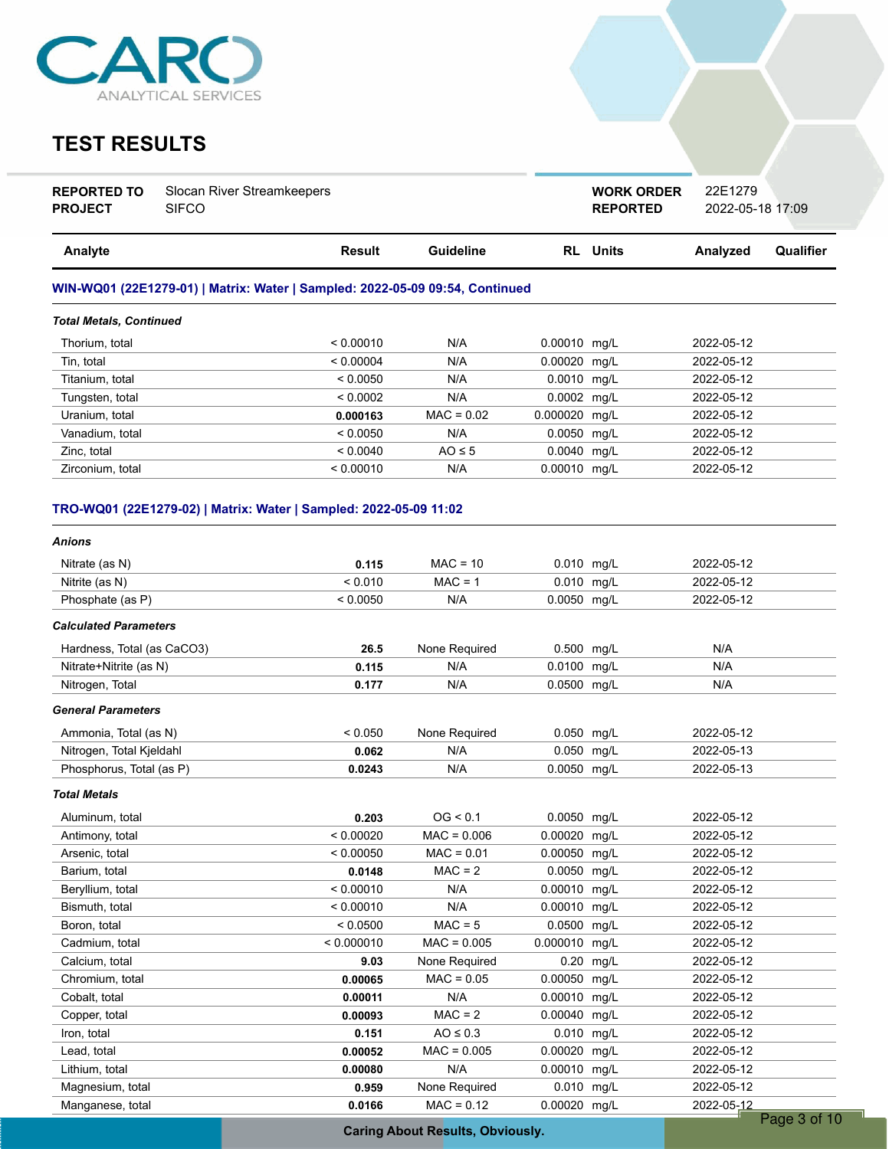

### **TEST RESULTS**

| <b>REPORTED TO</b> | Slocan River Streamkeepers |
|--------------------|----------------------------|
| <b>PROJECT</b>     | <b>SIFCO</b>               |

**REPORTED** 2022-05-18 17:09 **WORK ORDER** 22E1279

| Analyte                                                                      | Result    | Guideline    | <b>RL</b> Units | Analyzed   | Qualifier |
|------------------------------------------------------------------------------|-----------|--------------|-----------------|------------|-----------|
| WIN-WQ01 (22E1279-01)   Matrix: Water   Sampled: 2022-05-09 09:54, Continued |           |              |                 |            |           |
| <b>Total Metals, Continued</b>                                               |           |              |                 |            |           |
| Thorium, total                                                               | < 0.00010 | N/A          | $0.00010$ mg/L  | 2022-05-12 |           |
| Tin. total                                                                   | < 0.00004 | N/A          | $0.00020$ mg/L  | 2022-05-12 |           |
| Titanium, total                                                              | < 0.0050  | N/A          | $0.0010$ mg/L   | 2022-05-12 |           |
| Tungsten, total                                                              | < 0.0002  | N/A          | $0.0002$ mg/L   | 2022-05-12 |           |
| Uranium, total                                                               | 0.000163  | $MAC = 0.02$ | 0.000020 mg/L   | 2022-05-12 |           |
| Vanadium, total                                                              | < 0.0050  | N/A          | $0.0050$ mg/L   | 2022-05-12 |           |
| Zinc, total                                                                  | < 0.0040  | $AO \leq 5$  | $0.0040$ mg/L   | 2022-05-12 |           |
| Zirconium. total                                                             | < 0.00010 | N/A          | 0.00010 mg/L    | 2022-05-12 |           |

### **TRO-WQ01 (22E1279-02) | Matrix: Water | Sampled: 2022-05-09 11:02**

| Anions                       |            |               |               |      |            |             |
|------------------------------|------------|---------------|---------------|------|------------|-------------|
| Nitrate (as N)               | 0.115      | $MAC = 10$    | 0.010 mg/L    |      | 2022-05-12 |             |
| Nitrite (as N)               | < 0.010    | $MAC = 1$     | 0.010 mg/L    |      | 2022-05-12 |             |
| Phosphate (as P)             | < 0.0050   | N/A           | 0.0050 mg/L   |      | 2022-05-12 |             |
| <b>Calculated Parameters</b> |            |               |               |      |            |             |
| Hardness, Total (as CaCO3)   | 26.5       | None Required | 0.500 mg/L    |      | N/A        |             |
| Nitrate+Nitrite (as N)       | 0.115      | N/A           | 0.0100 mg/L   |      | N/A        |             |
| Nitrogen, Total              | 0.177      | N/A           | 0.0500 mg/L   |      | N/A        |             |
| <b>General Parameters</b>    |            |               |               |      |            |             |
| Ammonia, Total (as N)        | < 0.050    | None Required | 0.050 mg/L    |      | 2022-05-12 |             |
| Nitrogen, Total Kjeldahl     | 0.062      | N/A           | 0.050 mg/L    |      | 2022-05-13 |             |
| Phosphorus, Total (as P)     | 0.0243     | N/A           | 0.0050 mg/L   |      | 2022-05-13 |             |
| <b>Total Metals</b>          |            |               |               |      |            |             |
| Aluminum, total              | 0.203      | OG < 0.1      | 0.0050 mg/L   |      | 2022-05-12 |             |
| Antimony, total              | < 0.00020  | $MAC = 0.006$ | 0.00020       | mg/L | 2022-05-12 |             |
| Arsenic, total               | < 0.00050  | $MAC = 0.01$  | 0.00050       | mg/L | 2022-05-12 |             |
| Barium, total                | 0.0148     | $MAC = 2$     | 0.0050 mg/L   |      | 2022-05-12 |             |
| Beryllium, total             | < 0.00010  | N/A           | 0.00010 mg/L  |      | 2022-05-12 |             |
| Bismuth, total               | < 0.00010  | N/A           | 0.00010 mg/L  |      | 2022-05-12 |             |
| Boron, total                 | < 0.0500   | $MAC = 5$     | 0.0500 mg/L   |      | 2022-05-12 |             |
| Cadmium, total               | < 0.000010 | $MAC = 0.005$ | 0.000010 mg/L |      | 2022-05-12 |             |
| Calcium, total               | 9.03       | None Required | 0.20          | mg/L | 2022-05-12 |             |
| Chromium, total              | 0.00065    | $MAC = 0.05$  | 0.00050 mg/L  |      | 2022-05-12 |             |
| Cobalt, total                | 0.00011    | N/A           | 0.00010 mg/L  |      | 2022-05-12 |             |
| Copper, total                | 0.00093    | $MAC = 2$     | 0.00040 mg/L  |      | 2022-05-12 |             |
| Iron, total                  | 0.151      | $AO \leq 0.3$ | 0.010 mg/L    |      | 2022-05-12 |             |
| Lead, total                  | 0.00052    | $MAC = 0.005$ | 0.00020 mg/L  |      | 2022-05-12 |             |
| Lithium, total               | 0.00080    | N/A           | 0.00010 mg/L  |      | 2022-05-12 |             |
| Magnesium, total             | 0.959      | None Required | 0.010 mg/L    |      | 2022-05-12 |             |
| Manganese, total             | 0.0166     | $MAC = 0.12$  | 0.00020 mg/L  |      | 2022-05-12 |             |
|                              |            |               |               |      |            | Page 3 of 1 |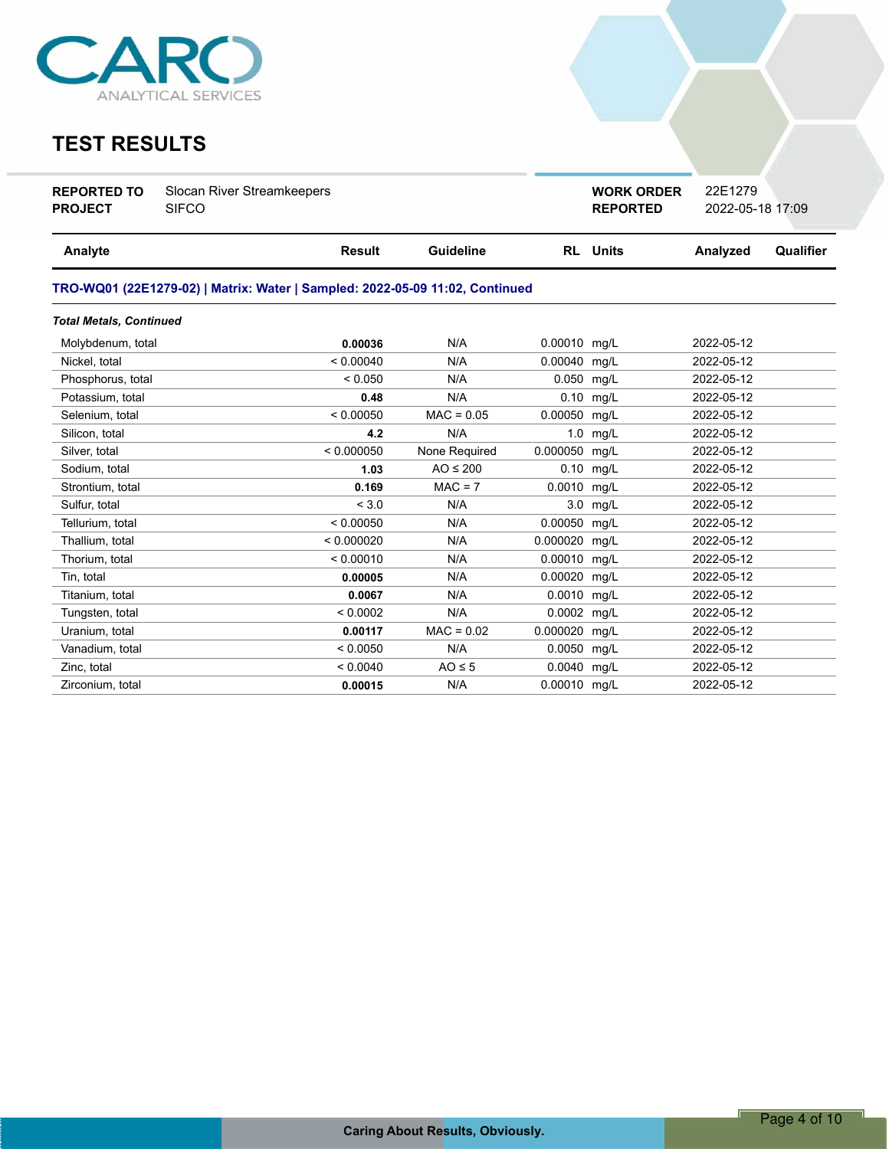

## **TEST RESULTS**

| <b>REPORTED TO</b><br><b>SIFCO</b><br><b>PROJECT</b> | Slocan River Streamkeepers |
|------------------------------------------------------|----------------------------|
|                                                      |                            |

**REPORTED** 2022-05-18 17:09 **WORK ORDER** 22E1279

| <b>Analyte</b>                                                               | Result     | <b>Guideline</b> |              | <b>RL</b> Units | Analyzed   | Qualifier |
|------------------------------------------------------------------------------|------------|------------------|--------------|-----------------|------------|-----------|
| TRO-WQ01 (22E1279-02)   Matrix: Water   Sampled: 2022-05-09 11:02, Continued |            |                  |              |                 |            |           |
| <b>Total Metals, Continued</b>                                               |            |                  |              |                 |            |           |
| Molybdenum, total                                                            | 0.00036    | N/A              | 0.00010 mg/L |                 | 2022-05-12 |           |
| Nickel, total                                                                | < 0.00040  | N/A              | 0.00040      | mg/L            | 2022-05-12 |           |
| Phosphorus, total                                                            | < 0.050    | N/A              | 0.050        | mg/L            | 2022-05-12 |           |
| Potassium, total                                                             | 0.48       | N/A              | 0.10         | mg/L            | 2022-05-12 |           |
| Selenium, total                                                              | < 0.00050  | $MAC = 0.05$     | 0.00050      | mq/L            | 2022-05-12 |           |
| Silicon, total                                                               | 4.2        | N/A              | 1.0          | mg/L            | 2022-05-12 |           |
| Silver, total                                                                | < 0.000050 | None Required    | 0.000050     | mq/L            | 2022-05-12 |           |
| Sodium, total                                                                | 1.03       | $AO \leq 200$    |              | $0.10$ mg/L     | 2022-05-12 |           |
| Strontium, total                                                             | 0.169      | $MAC = 7$        | 0.0010 mg/L  |                 | 2022-05-12 |           |
| Sulfur, total                                                                | < 3.0      | N/A              |              | 3.0 mg/L        | 2022-05-12 |           |
| Tellurium, total                                                             | < 0.00050  | N/A              | 0.00050      | mg/L            | 2022-05-12 |           |
| Thallium, total                                                              | < 0.000020 | N/A              | 0.000020     | mg/L            | 2022-05-12 |           |
| Thorium, total                                                               | < 0.00010  | N/A              | 0.00010      | mg/L            | 2022-05-12 |           |
| Tin, total                                                                   | 0.00005    | N/A              | 0.00020      | mg/L            | 2022-05-12 |           |
| Titanium, total                                                              | 0.0067     | N/A              | 0.0010       | mg/L            | 2022-05-12 |           |
| Tungsten, total                                                              | < 0.0002   | N/A              | 0.0002 mg/L  |                 | 2022-05-12 |           |
| Uranium, total                                                               | 0.00117    | $MAC = 0.02$     | 0.000020     | mq/L            | 2022-05-12 |           |
| Vanadium, total                                                              | < 0.0050   | N/A              | 0.0050 mg/L  |                 | 2022-05-12 |           |
| Zinc, total                                                                  | < 0.0040   | $AO \leq 5$      | 0.0040 mg/L  |                 | 2022-05-12 |           |
| Zirconium. total                                                             | 0.00015    | N/A              | 0.00010 mg/L |                 | 2022-05-12 |           |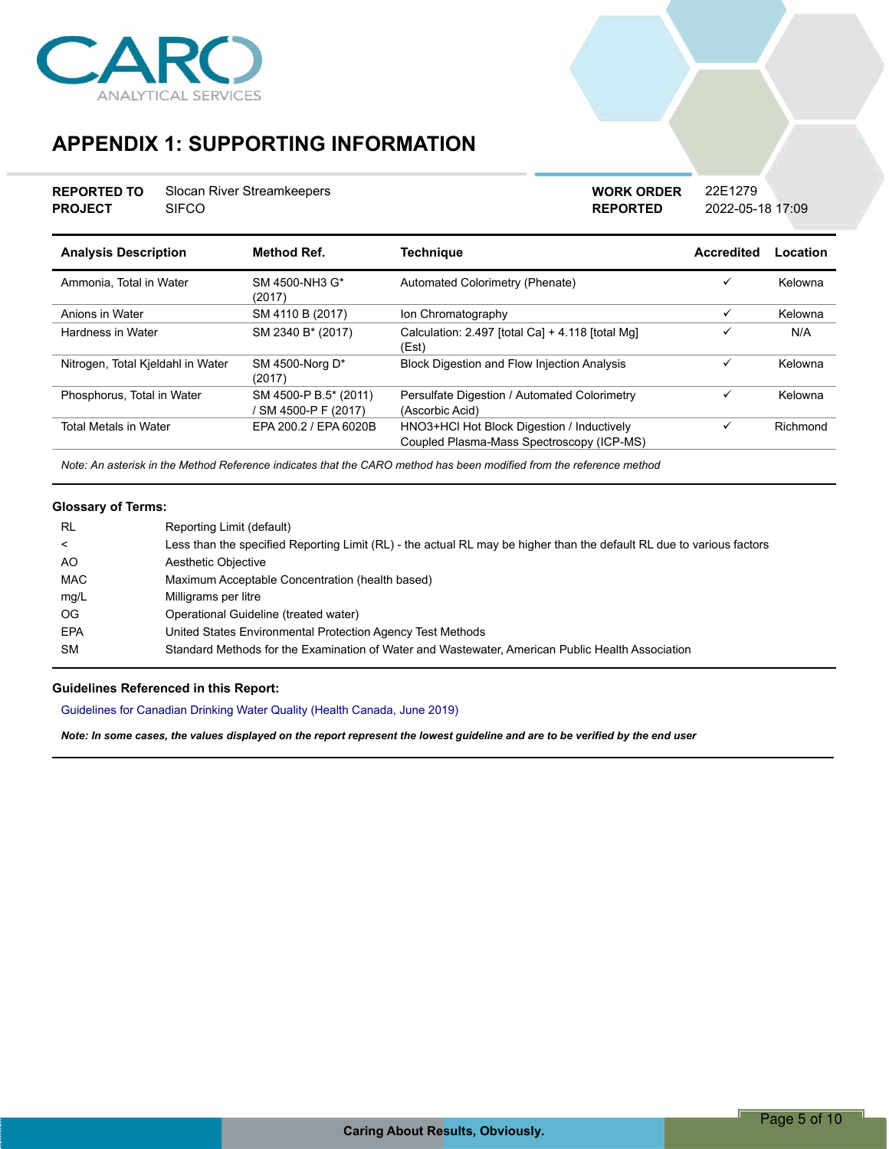

## **APPENDIX 1: SUPPORTING INFORMATION**

| <b>REPORTED TO</b> | Slocan River Streamkeepers |
|--------------------|----------------------------|
| <b>PROJECT</b>     | <b>SIFCO</b>               |

**REPORTED** 2022-05-18 17:09 **WORK ORDER** 22E1279

| <b>Analysis Description</b>       | <b>Method Ref.</b>                          | <b>Technique</b>                                                                        | Accredited   | Location |
|-----------------------------------|---------------------------------------------|-----------------------------------------------------------------------------------------|--------------|----------|
| Ammonia, Total in Water           | SM 4500-NH3 G*<br>(2017)                    | Automated Colorimetry (Phenate)                                                         | ✓            | Kelowna  |
| Anions in Water                   | SM 4110 B (2017)                            | Ion Chromatography                                                                      | ✓            | Kelowna  |
| Hardness in Water                 | SM 2340 B* (2017)                           | Calculation: 2.497 [total Ca] + 4.118 [total Mg]<br>(Est)                               | ✓            | N/A      |
| Nitrogen, Total Kjeldahl in Water | SM 4500-Norg D*<br>(2017)                   | <b>Block Digestion and Flow Injection Analysis</b>                                      | $\checkmark$ | Kelowna  |
| Phosphorus, Total in Water        | SM 4500-P B.5* (2011)<br>SM 4500-P F (2017) | Persulfate Digestion / Automated Colorimetry<br>(Ascorbic Acid)                         | ✓            | Kelowna  |
| <b>Total Metals in Water</b>      | EPA 200.2 / EPA 6020B                       | HNO3+HCl Hot Block Digestion / Inductively<br>Coupled Plasma-Mass Spectroscopy (ICP-MS) | $\checkmark$ | Richmond |

*Note: An asterisk in the Method Reference indicates that the CARO method has been modified from the reference method*

### **Glossary of Terms:**

| <b>RL</b>  | Reporting Limit (default)                                                                                             |
|------------|-----------------------------------------------------------------------------------------------------------------------|
| ≺          | Less than the specified Reporting Limit (RL) - the actual RL may be higher than the default RL due to various factors |
| AO.        | Aesthetic Objective                                                                                                   |
| MAC        | Maximum Acceptable Concentration (health based)                                                                       |
| mg/L       | Milligrams per litre                                                                                                  |
| OG.        | Operational Guideline (treated water)                                                                                 |
| <b>EPA</b> | United States Environmental Protection Agency Test Methods                                                            |
| <b>SM</b>  | Standard Methods for the Examination of Water and Wastewater, American Public Health Association                      |

#### **Guidelines Referenced in this Report:**

Guidelines for Canadian Drinking Water Quality (Health Canada, June 2019)

*Note: In some cases, the values displayed on the report represent the lowest guideline and are to be verified by the end user*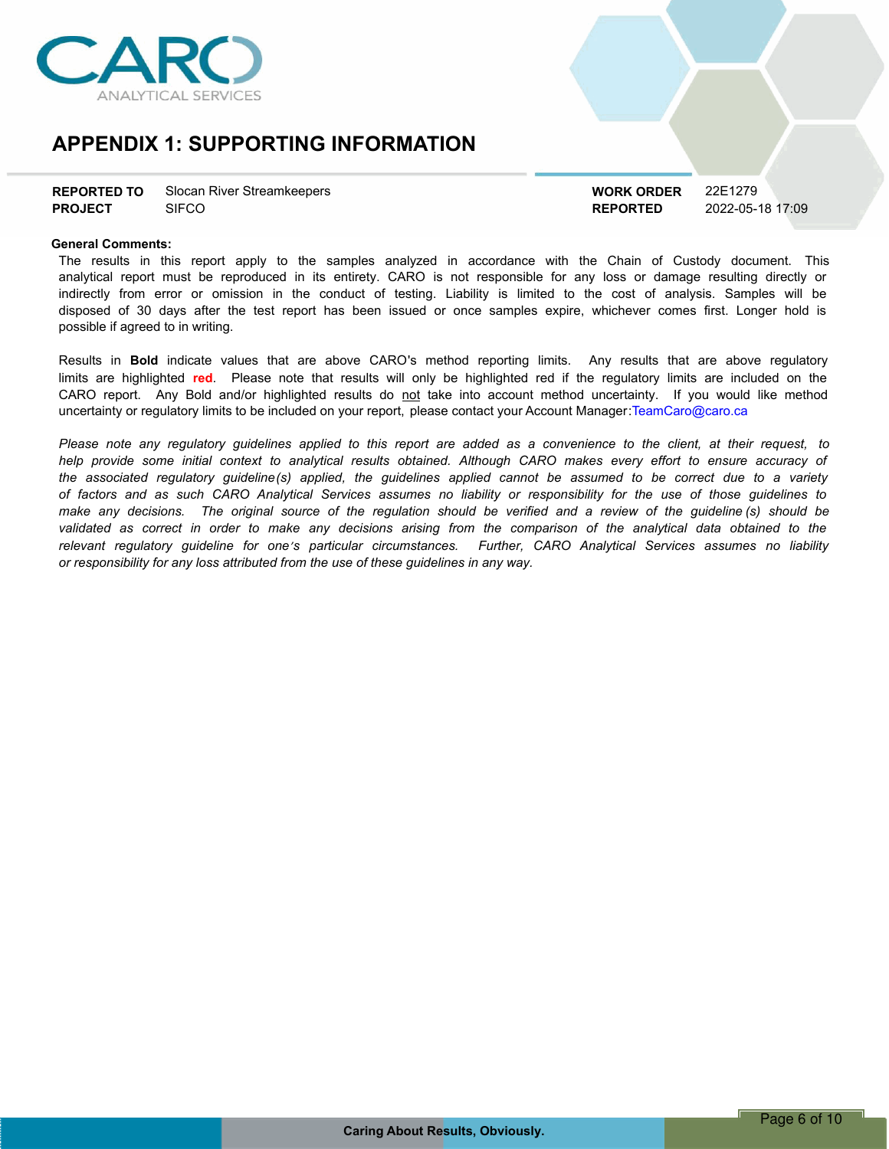

### **APPENDIX 1: SUPPORTING INFORMATION**

| <b>REPORTED TO</b> | Slocan River Streamkeepers |
|--------------------|----------------------------|
| <b>PROJECT</b>     | <b>SIFCO</b>               |

**REPORTED** 2022-05-18 17:09 **WORK ORDER** 22E1279

#### **General Comments:**

The results in this report apply to the samples analyzed in accordance with the Chain of Custody document. This analytical report must be reproduced in its entirety. CARO is not responsible for any loss or damage resulting directly or indirectly from error or omission in the conduct of testing. Liability is limited to the cost of analysis. Samples will be disposed of 30 days after the test report has been issued or once samples expire, whichever comes first. Longer hold is possible if agreed to in writing.

Results in **Bold** indicate values that are above CARO's method reporting limits. Any results that are above regulatory limits are highlighted **red**. Please note that results will only be highlighted red if the regulatory limits are included on the CARO report. Any Bold and/or highlighted results do not take into account method uncertainty. If you would like method uncertainty or regulatory limits to be included on your report, please contact your Account Manager:TeamCaro@caro.ca

Please note any requlatory quidelines applied to this report are added as a convenience to the client, at their request, to help provide some initial context to analytical results obtained. Although CARO makes every effort to ensure accuracy of the associated regulatory guideline(s) applied, the guidelines applied cannot be assumed to be correct due to a variety of factors and as such CARO Analytical Services assumes no liability or responsibility for the use of those guidelines to make any decisions. The original source of the regulation should be verified and a review of the guideline (s) should be validated as correct in order to make any decisions arising from the comparison of the analytical data obtained to the *relevant regulatory guideline for oneís particular circumstances. Further, CARO Analytical Services assumes no liability or responsibility for any loss attributed from the use of these guidelines in any way.*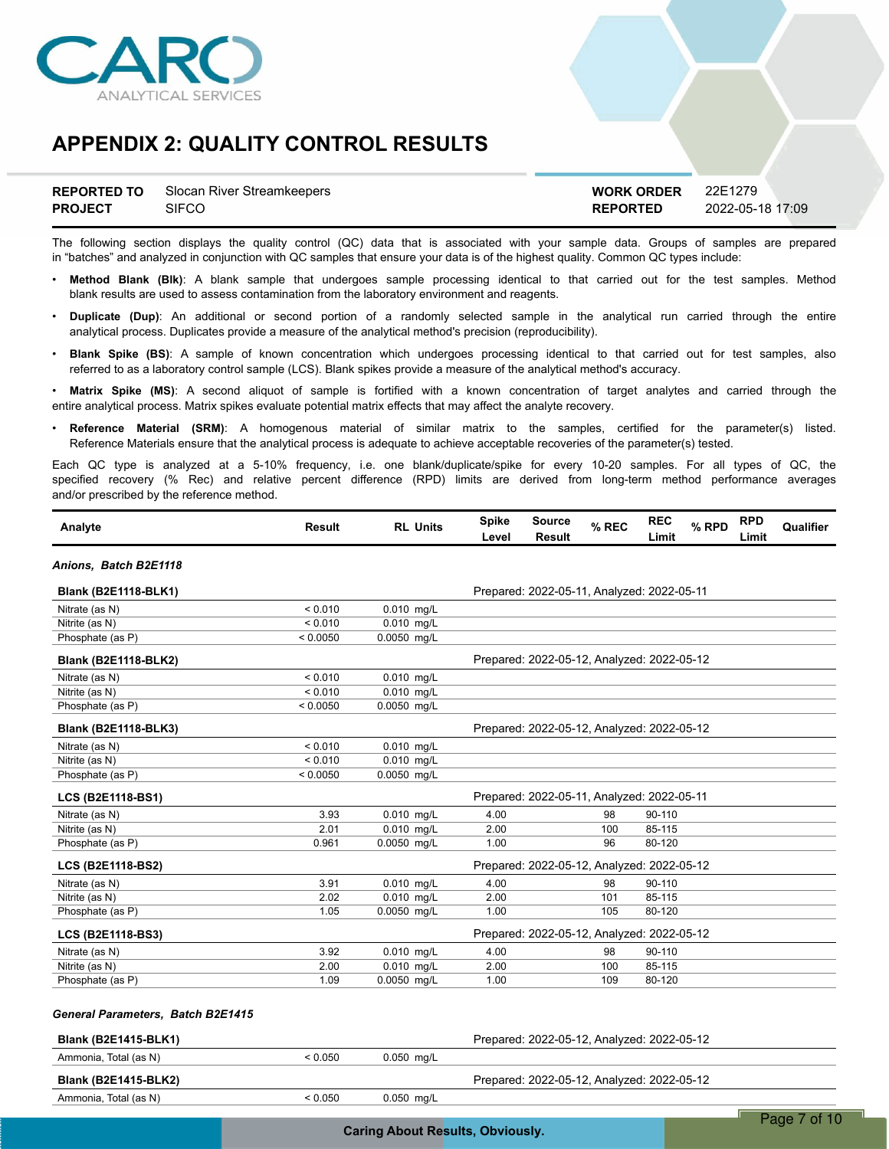

|                | <b>REPORTED TO</b> Slocan River Streamkeepers | <b>WORK ORDER</b> | 22E1279          |
|----------------|-----------------------------------------------|-------------------|------------------|
| <b>PROJECT</b> | SIFCO                                         | <b>REPORTED</b>   | 2022-05-18 17:09 |

The following section displays the quality control (QC) data that is associated with your sample data. Groups of samples are prepared in "batches" and analyzed in conjunction with QC samples that ensure your data is of the highest quality. Common QC types include:

- ï **Method Blank (Blk)**: A blank sample that undergoes sample processing identical to that carried out for the test samples. Method blank results are used to assess contamination from the laboratory environment and reagents.
- ï **Duplicate (Dup)**: An additional or second portion of a randomly selected sample in the analytical run carried through the entire analytical process. Duplicates provide a measure of the analytical method's precision (reproducibility).
- ï **Blank Spike (BS)**: A sample of known concentration which undergoes processing identical to that carried out for test samples, also referred to as a laboratory control sample (LCS). Blank spikes provide a measure of the analytical method's accuracy.

Matrix Spike (MS): A second aliquot of sample is fortified with a known concentration of target analytes and carried through the entire analytical process. Matrix spikes evaluate potential matrix effects that may affect the analyte recovery.

ï **Reference Material (SRM)**: A homogenous material of similar matrix to the samples, certified for the parameter(s) listed. Reference Materials ensure that the analytical process is adequate to achieve acceptable recoveries of the parameter(s) tested.

Each QC type is analyzed at a 5-10% frequency, i.e. one blank/duplicate/spike for every 10-20 samples. For all types of QC, the specified recovery (% Rec) and relative percent difference (RPD) limits are derived from long-term method performance averages and/or prescribed by the reference method.

| Analyte                           | <b>Result</b> | <b>RL Units</b> | <b>Spike</b><br>Level | Source<br><b>Result</b>                    | % REC | <b>REC</b><br>Limit | % RPD | <b>RPD</b><br>Limit | Qualifier |
|-----------------------------------|---------------|-----------------|-----------------------|--------------------------------------------|-------|---------------------|-------|---------------------|-----------|
| Anions, Batch B2E1118             |               |                 |                       |                                            |       |                     |       |                     |           |
| <b>Blank (B2E1118-BLK1)</b>       |               |                 |                       | Prepared: 2022-05-11, Analyzed: 2022-05-11 |       |                     |       |                     |           |
| Nitrate (as N)                    | < 0.010       | 0.010 mg/L      |                       |                                            |       |                     |       |                     |           |
| Nitrite (as N)                    | < 0.010       | $0.010$ mg/L    |                       |                                            |       |                     |       |                     |           |
| Phosphate (as P)                  | < 0.0050      | 0.0050 mg/L     |                       |                                            |       |                     |       |                     |           |
| <b>Blank (B2E1118-BLK2)</b>       |               |                 |                       | Prepared: 2022-05-12, Analyzed: 2022-05-12 |       |                     |       |                     |           |
| Nitrate (as N)                    | < 0.010       | 0.010 mg/L      |                       |                                            |       |                     |       |                     |           |
| Nitrite (as N)                    | < 0.010       | $0.010$ mg/L    |                       |                                            |       |                     |       |                     |           |
| Phosphate (as P)                  | < 0.0050      | 0.0050 mg/L     |                       |                                            |       |                     |       |                     |           |
| <b>Blank (B2E1118-BLK3)</b>       |               |                 |                       | Prepared: 2022-05-12, Analyzed: 2022-05-12 |       |                     |       |                     |           |
| Nitrate (as N)                    | < 0.010       | 0.010 mg/L      |                       |                                            |       |                     |       |                     |           |
| Nitrite (as N)                    | < 0.010       | $0.010$ mg/L    |                       |                                            |       |                     |       |                     |           |
| Phosphate (as P)                  | < 0.0050      | 0.0050 mg/L     |                       |                                            |       |                     |       |                     |           |
| LCS (B2E1118-BS1)                 |               |                 |                       | Prepared: 2022-05-11, Analyzed: 2022-05-11 |       |                     |       |                     |           |
| Nitrate (as N)                    | 3.93          | 0.010 mg/L      | 4.00                  |                                            | 98    | 90-110              |       |                     |           |
| Nitrite (as N)                    | 2.01          | 0.010 mg/L      | 2.00                  |                                            | 100   | 85-115              |       |                     |           |
| Phosphate (as P)                  | 0.961         | 0.0050 mg/L     | 1.00                  |                                            | 96    | 80-120              |       |                     |           |
| <b>LCS (B2E1118-BS2)</b>          |               |                 |                       | Prepared: 2022-05-12, Analyzed: 2022-05-12 |       |                     |       |                     |           |
| Nitrate (as N)                    | 3.91          | 0.010 mg/L      | 4.00                  |                                            | 98    | 90-110              |       |                     |           |
| Nitrite (as N)                    | 2.02          | $0.010$ mg/L    | 2.00                  |                                            | 101   | 85-115              |       |                     |           |
| Phosphate (as P)                  | 1.05          | 0.0050 mg/L     | 1.00                  |                                            | 105   | 80-120              |       |                     |           |
| <b>LCS (B2E1118-BS3)</b>          |               |                 |                       | Prepared: 2022-05-12, Analyzed: 2022-05-12 |       |                     |       |                     |           |
| Nitrate (as N)                    | 3.92          | 0.010 mg/L      | 4.00                  |                                            | 98    | 90-110              |       |                     |           |
| Nitrite (as N)                    | 2.00          | 0.010 mg/L      | 2.00                  |                                            | 100   | 85-115              |       |                     |           |
| Phosphate (as P)                  | 1.09          | 0.0050 mg/L     | 1.00                  |                                            | 109   | 80-120              |       |                     |           |
| General Parameters, Batch B2E1415 |               |                 |                       |                                            |       |                     |       |                     |           |
| <b>Blank (B2E1415-BLK1)</b>       |               |                 |                       | Prepared: 2022-05-12, Analyzed: 2022-05-12 |       |                     |       |                     |           |
| Ammonia Total (as N)              | $\sim$ 0.050  | $0.050$ mall    |                       |                                            |       |                     |       |                     |           |

| Ammonia, Total (as N)       | < 0.050 | $0.050$ mg/L |                                            |
|-----------------------------|---------|--------------|--------------------------------------------|
| <b>Blank (B2E1415-BLK2)</b> |         |              | Prepared: 2022-05-12, Analyzed: 2022-05-12 |
| Ammonia, Total (as N)       | < 0.050 | 0.050 mg/L   |                                            |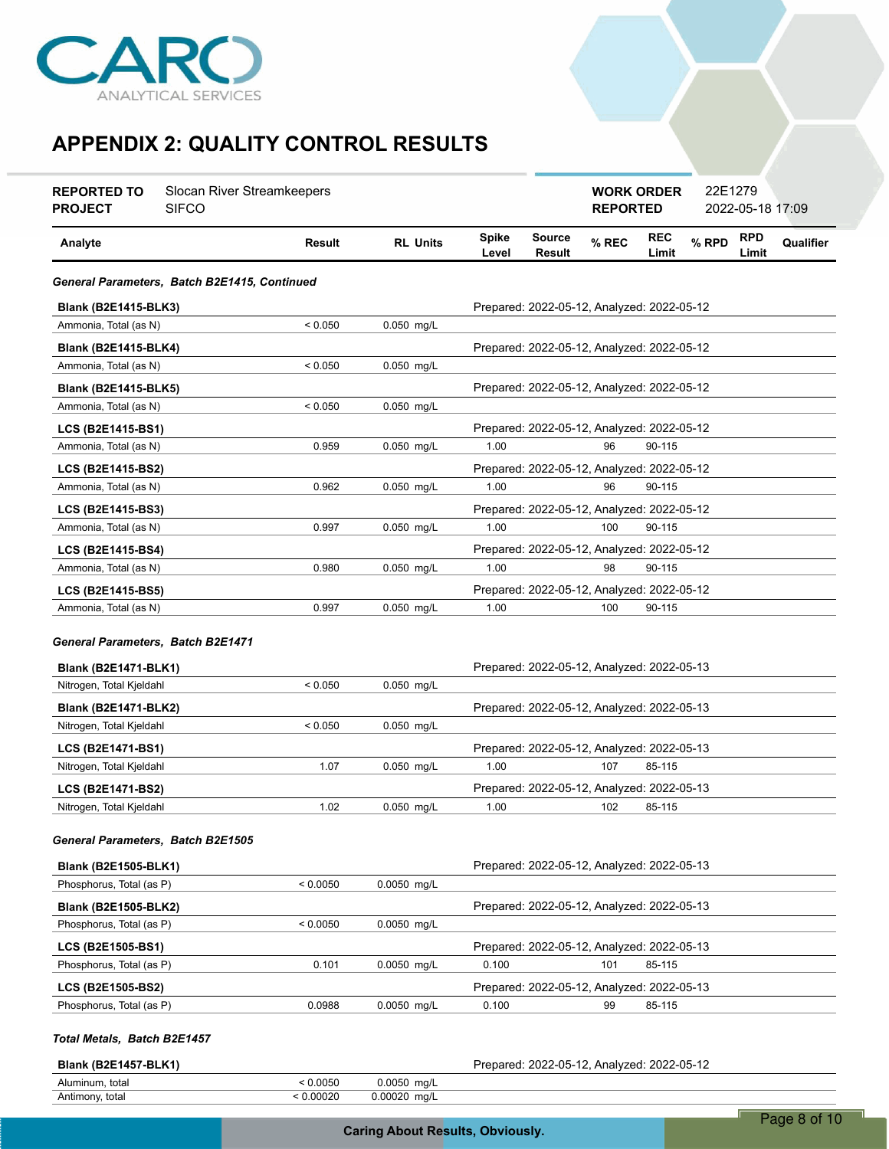

| Slocan River Streamkeepers<br><b>REPORTED TO</b><br><b>SIFCO</b><br><b>PROJECT</b> |                                              |           |                 |                       |                                            | <b>WORK ORDER</b><br><b>REPORTED</b> |                     | 22E1279 | 2022-05-18 17:09    |           |
|------------------------------------------------------------------------------------|----------------------------------------------|-----------|-----------------|-----------------------|--------------------------------------------|--------------------------------------|---------------------|---------|---------------------|-----------|
| Analyte                                                                            |                                              | Result    | <b>RL Units</b> | <b>Spike</b><br>Level | <b>Source</b><br>Result                    | % REC                                | <b>REC</b><br>Limit | % RPD   | <b>RPD</b><br>Limit | Qualifier |
|                                                                                    | General Parameters, Batch B2E1415, Continued |           |                 |                       |                                            |                                      |                     |         |                     |           |
| <b>Blank (B2E1415-BLK3)</b>                                                        |                                              |           |                 |                       | Prepared: 2022-05-12, Analyzed: 2022-05-12 |                                      |                     |         |                     |           |
| Ammonia, Total (as N)                                                              |                                              | < 0.050   | 0.050 mg/L      |                       |                                            |                                      |                     |         |                     |           |
| <b>Blank (B2E1415-BLK4)</b>                                                        |                                              |           |                 |                       | Prepared: 2022-05-12, Analyzed: 2022-05-12 |                                      |                     |         |                     |           |
| Ammonia, Total (as N)                                                              |                                              | < 0.050   | 0.050 mg/L      |                       |                                            |                                      |                     |         |                     |           |
| Blank (B2E1415-BLK5)                                                               |                                              |           |                 |                       | Prepared: 2022-05-12, Analyzed: 2022-05-12 |                                      |                     |         |                     |           |
| Ammonia, Total (as N)                                                              |                                              | < 0.050   | 0.050 mg/L      |                       |                                            |                                      |                     |         |                     |           |
| LCS (B2E1415-BS1)                                                                  |                                              |           |                 |                       | Prepared: 2022-05-12, Analyzed: 2022-05-12 |                                      |                     |         |                     |           |
| Ammonia, Total (as N)                                                              |                                              | 0.959     | 0.050 mg/L      | 1.00                  |                                            | 96                                   | 90-115              |         |                     |           |
| LCS (B2E1415-BS2)                                                                  |                                              |           |                 |                       | Prepared: 2022-05-12, Analyzed: 2022-05-12 |                                      |                     |         |                     |           |
| Ammonia, Total (as N)                                                              |                                              | 0.962     | 0.050 mg/L      | 1.00                  |                                            | 96                                   | 90-115              |         |                     |           |
| LCS (B2E1415-BS3)                                                                  |                                              |           |                 |                       | Prepared: 2022-05-12, Analyzed: 2022-05-12 |                                      |                     |         |                     |           |
| Ammonia, Total (as N)                                                              |                                              | 0.997     | 0.050 mg/L      | 1.00                  |                                            | 100                                  | 90-115              |         |                     |           |
| LCS (B2E1415-BS4)                                                                  |                                              |           |                 |                       | Prepared: 2022-05-12, Analyzed: 2022-05-12 |                                      |                     |         |                     |           |
| Ammonia, Total (as N)                                                              |                                              | 0.980     | 0.050 mg/L      | 1.00                  |                                            | 98                                   | 90-115              |         |                     |           |
| LCS (B2E1415-BS5)                                                                  |                                              |           |                 |                       | Prepared: 2022-05-12, Analyzed: 2022-05-12 |                                      |                     |         |                     |           |
| Ammonia, Total (as N)                                                              |                                              | 0.997     | 0.050 mg/L      | 1.00                  |                                            | 100                                  | 90-115              |         |                     |           |
| General Parameters, Batch B2E1471<br><b>Blank (B2E1471-BLK1)</b>                   |                                              |           |                 |                       | Prepared: 2022-05-12, Analyzed: 2022-05-13 |                                      |                     |         |                     |           |
| Nitrogen, Total Kjeldahl                                                           |                                              | < 0.050   | 0.050 mg/L      |                       |                                            |                                      |                     |         |                     |           |
| <b>Blank (B2E1471-BLK2)</b>                                                        |                                              |           |                 |                       | Prepared: 2022-05-12, Analyzed: 2022-05-13 |                                      |                     |         |                     |           |
| Nitrogen, Total Kjeldahl                                                           |                                              | < 0.050   | 0.050 mg/L      |                       |                                            |                                      |                     |         |                     |           |
| LCS (B2E1471-BS1)                                                                  |                                              |           |                 |                       | Prepared: 2022-05-12, Analyzed: 2022-05-13 |                                      |                     |         |                     |           |
| Nitrogen, Total Kjeldahl                                                           |                                              | 1.07      | 0.050 mg/L      | 1.00                  |                                            | 107                                  | 85-115              |         |                     |           |
| LCS (B2E1471-BS2)                                                                  |                                              |           |                 |                       | Prepared: 2022-05-12, Analyzed: 2022-05-13 |                                      |                     |         |                     |           |
| Nitrogen, Total Kjeldahl                                                           |                                              | 1.02      | 0.050 mg/L      | 1.00                  |                                            | 102                                  | 85-115              |         |                     |           |
| General Parameters, Batch B2E1505                                                  |                                              |           |                 |                       |                                            |                                      |                     |         |                     |           |
| <b>Blank (B2E1505-BLK1)</b>                                                        |                                              |           |                 |                       | Prepared: 2022-05-12, Analyzed: 2022-05-13 |                                      |                     |         |                     |           |
| Phosphorus, Total (as P)                                                           |                                              | < 0.0050  | 0.0050 mg/L     |                       |                                            |                                      |                     |         |                     |           |
| <b>Blank (B2E1505-BLK2)</b>                                                        |                                              |           |                 |                       | Prepared: 2022-05-12, Analyzed: 2022-05-13 |                                      |                     |         |                     |           |
| Phosphorus, Total (as P)                                                           |                                              | < 0.0050  | 0.0050 mg/L     |                       |                                            |                                      |                     |         |                     |           |
| LCS (B2E1505-BS1)                                                                  |                                              |           |                 |                       | Prepared: 2022-05-12, Analyzed: 2022-05-13 |                                      |                     |         |                     |           |
| Phosphorus, Total (as P)                                                           |                                              | 0.101     | 0.0050 mg/L     | 0.100                 |                                            | 101                                  | 85-115              |         |                     |           |
| LCS (B2E1505-BS2)                                                                  |                                              |           |                 |                       | Prepared: 2022-05-12, Analyzed: 2022-05-13 |                                      |                     |         |                     |           |
| Phosphorus, Total (as P)                                                           |                                              | 0.0988    | 0.0050 mg/L     | 0.100                 |                                            | 99                                   | 85-115              |         |                     |           |
| Total Metals, Batch B2E1457                                                        |                                              |           |                 |                       |                                            |                                      |                     |         |                     |           |
| <b>Blank (B2E1457-BLK1)</b>                                                        |                                              | < 0.0050  | 0.0050 mg/L     |                       | Prepared: 2022-05-12, Analyzed: 2022-05-12 |                                      |                     |         |                     |           |
| Aluminum, total<br>Antimony, total                                                 |                                              | < 0.00020 | 0.00020 mg/L    |                       |                                            |                                      |                     |         |                     |           |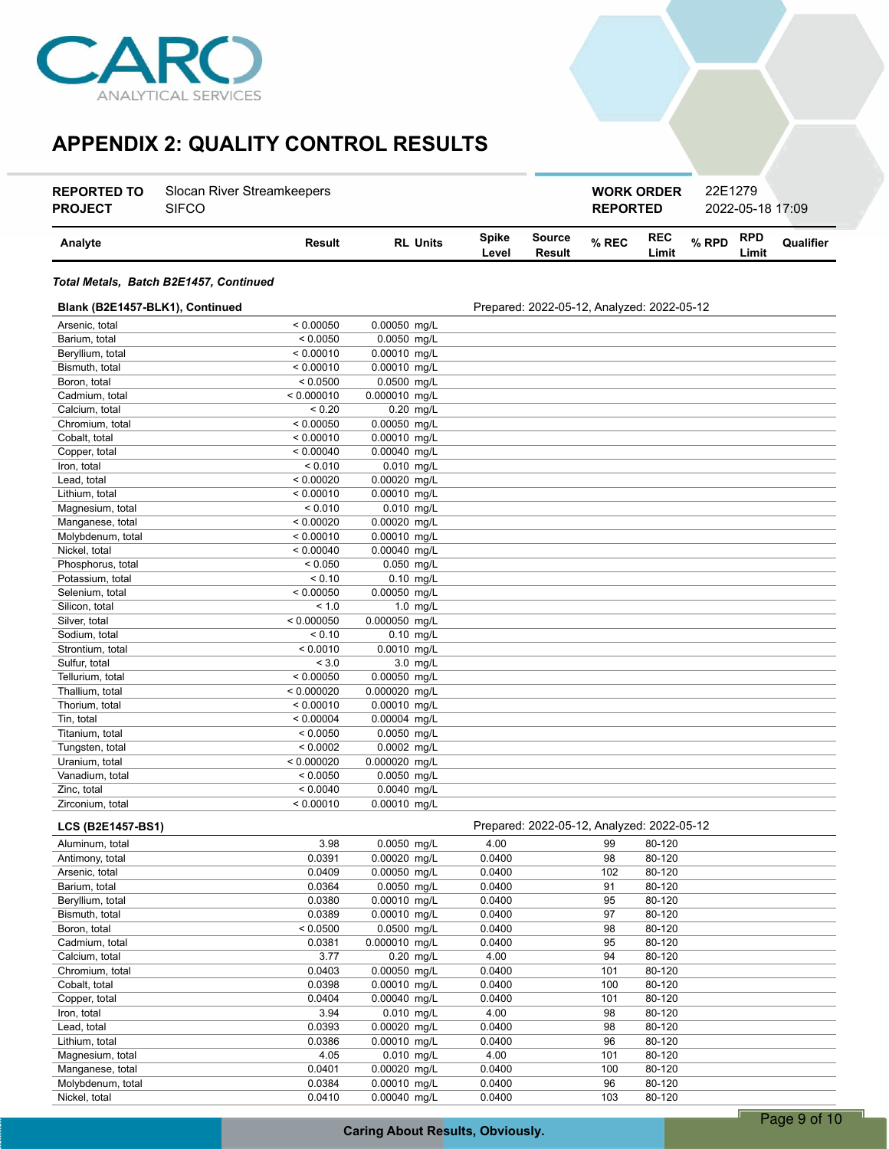

| <b>REPORTED TO</b><br><b>PROJECT</b> | Slocan River Streamkeepers<br><b>SIFCO</b> |                 |                       |                  | 22E1279<br><b>WORK ORDER</b><br><b>REPORTED</b> |                     |       |                     | 2022-05-18 17:09 |  |
|--------------------------------------|--------------------------------------------|-----------------|-----------------------|------------------|-------------------------------------------------|---------------------|-------|---------------------|------------------|--|
| Analyte                              | Result                                     | <b>RL Units</b> | <b>Spike</b><br>Level | Source<br>Result | $%$ REC                                         | <b>REC</b><br>Limit | % RPD | <b>RPD</b><br>Limit | Qualifier        |  |

#### *Total Metals, Batch B2E1457, Continued*

| Blank (B2E1457-BLK1), Continued |            |               | Prepared: 2022-05-12, Analyzed: 2022-05-12 |
|---------------------------------|------------|---------------|--------------------------------------------|
| Arsenic, total                  | < 0.00050  | 0.00050 mg/L  |                                            |
| Barium, total                   | < 0.0050   | 0.0050 mg/L   |                                            |
| Beryllium, total                | < 0.00010  | 0.00010 mg/L  |                                            |
| Bismuth, total                  | < 0.00010  | 0.00010 mg/L  |                                            |
| Boron, total                    | < 0.0500   | 0.0500 mg/L   |                                            |
| Cadmium, total                  | < 0.000010 | 0.000010 mg/L |                                            |
| Calcium, total                  | < 0.20     | $0.20$ mg/L   |                                            |
| Chromium, total                 | < 0.00050  | 0.00050 mg/L  |                                            |
| Cobalt, total                   | < 0.00010  | 0.00010 mg/L  |                                            |
| Copper, total                   | < 0.00040  | 0.00040 mg/L  |                                            |
| Iron, total                     | < 0.010    | $0.010$ mg/L  |                                            |
| Lead, total                     | < 0.00020  | 0.00020 mg/L  |                                            |
| Lithium, total                  | < 0.00010  | 0.00010 mg/L  |                                            |
| Magnesium, total                | < 0.010    | $0.010$ mg/L  |                                            |
| Manganese, total                | < 0.00020  | 0.00020 mg/L  |                                            |
| Molybdenum, total               | < 0.00010  | 0.00010 mg/L  |                                            |
| Nickel, total                   | < 0.00040  | 0.00040 mg/L  |                                            |
| Phosphorus, total               | < 0.050    | $0.050$ mq/L  |                                            |
| Potassium, total                | < 0.10     | $0.10$ mg/L   |                                            |
| Selenium, total                 | < 0.00050  | 0.00050 mg/L  |                                            |
| Silicon, total                  | < 1.0      | $1.0$ mg/L    |                                            |
| Silver, total                   | < 0.000050 | 0.000050 mg/L |                                            |
| Sodium, total                   | < 0.10     | $0.10$ mg/L   |                                            |
| Strontium, total                | < 0.0010   | 0.0010 mg/L   |                                            |
| Sulfur, total                   | < 3.0      | 3.0 mg/L      |                                            |
| Tellurium, total                | < 0.00050  | 0.00050 mg/L  |                                            |
| Thallium, total                 | < 0.000020 | 0.000020 mg/L |                                            |
| Thorium, total                  | < 0.00010  | 0.00010 mg/L  |                                            |
| Tin, total                      | < 0.00004  | 0.00004 mg/L  |                                            |
| Titanium, total                 | < 0.0050   | 0.0050 mg/L   |                                            |
| Tungsten, total                 | < 0.0002   | 0.0002 mg/L   |                                            |
| Uranium, total                  | < 0.000020 | 0.000020 mg/L |                                            |
| Vanadium, total                 | < 0.0050   | 0.0050 mg/L   |                                            |
| Zinc, total                     | < 0.0040   | 0.0040 mg/L   |                                            |
| Zirconium, total                | < 0.00010  | 0.00010 mg/L  |                                            |
|                                 |            |               |                                            |

| <b>LCS (B2E1457-BS1)</b> |          |               |        | Prepared: 2022-05-12, Analyzed: 2022-05-12 |        |  |
|--------------------------|----------|---------------|--------|--------------------------------------------|--------|--|
| Aluminum, total          | 3.98     | 0.0050 mg/L   | 4.00   | 99                                         | 80-120 |  |
| Antimony, total          | 0.0391   | 0.00020 mg/L  | 0.0400 | 98                                         | 80-120 |  |
| Arsenic, total           | 0.0409   | 0.00050 mg/L  | 0.0400 | 102                                        | 80-120 |  |
| Barium, total            | 0.0364   | 0.0050 mg/L   | 0.0400 | 91                                         | 80-120 |  |
| Beryllium, total         | 0.0380   | 0.00010 mg/L  | 0.0400 | 95                                         | 80-120 |  |
| Bismuth, total           | 0.0389   | 0.00010 mg/L  | 0.0400 | 97                                         | 80-120 |  |
| Boron, total             | < 0.0500 | 0.0500 mg/L   | 0.0400 | 98                                         | 80-120 |  |
| Cadmium, total           | 0.0381   | 0.000010 mg/L | 0.0400 | 95                                         | 80-120 |  |
| Calcium, total           | 3.77     | $0.20$ mg/L   | 4.00   | 94                                         | 80-120 |  |
| Chromium, total          | 0.0403   | 0.00050 mg/L  | 0.0400 | 101                                        | 80-120 |  |
| Cobalt, total            | 0.0398   | 0.00010 mg/L  | 0.0400 | 100                                        | 80-120 |  |
| Copper, total            | 0.0404   | 0.00040 mg/L  | 0.0400 | 101                                        | 80-120 |  |
| Iron, total              | 3.94     | $0.010$ mg/L  | 4.00   | 98                                         | 80-120 |  |
| Lead, total              | 0.0393   | 0.00020 mg/L  | 0.0400 | 98                                         | 80-120 |  |
| Lithium, total           | 0.0386   | 0.00010 mg/L  | 0.0400 | 96                                         | 80-120 |  |
| Magnesium, total         | 4.05     | $0.010$ mg/L  | 4.00   | 101                                        | 80-120 |  |
| Manganese, total         | 0.0401   | 0.00020 mg/L  | 0.0400 | 100                                        | 80-120 |  |
| Molybdenum, total        | 0.0384   | 0.00010 mg/L  | 0.0400 | 96                                         | 80-120 |  |
| Nickel, total            | 0.0410   | 0.00040 ma/L  | 0.0400 | 103                                        | 80-120 |  |